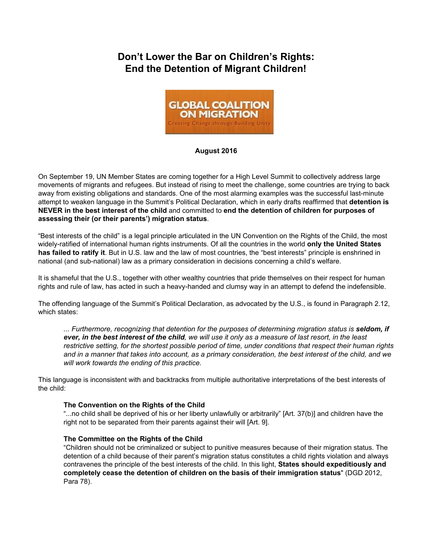# **Don't Lower the Bar on Children's Rights: End the Detention of Migrant Children!**



# **August 2016**

On September 19, UN Member States are coming together for a High Level Summit to collectively address large movements of migrants and refugees. But instead of rising to meet the challenge, some countries are trying to back away from existing obligations and standards. One of the most alarming examples was the successful last-minute attempt to weaken language in the Summit's Political Declaration, which in early drafts reaffirmed that **detention is NEVER in the best interest of the child** and committed to **end the detention of children for purposes of assessing their (or their parents') migration status**.

"Best interests of the child" is a legal principle articulated in the UN Convention on the Rights of the Child, the most widely-ratified of international human rights instruments. Of all the countries in the world **only the United States has failed to ratify it**. But in U.S. law and the law of most countries, the "best interests" principle is enshrined in national (and sub-national) law as a primary consideration in decisions concerning a child's welfare.

It is shameful that the U.S., together with other wealthy countries that pride themselves on their respect for human rights and rule of law, has acted in such a heavyhanded and clumsy way in an attempt to defend the indefensible.

The offending language of the Summit's Political Declaration, as advocated by the U.S., is found in Paragraph 2.12, which states:

*... Furthermore, recognizing that detention for the purposes of determining migration status is seldom, if ever, in the best interest of the child, we will use it only as a measure of last resort, in the least restrictive setting, for the shortest possible period of time, under conditions that respect their human rights and in a manner that takes into account, as a primary consideration, the best interest of the child, and we will work towards the ending of this practice.*

This language is inconsistent with and backtracks from multiple authoritative interpretations of the best interests of the child:

#### **The Convention on the Rights of the Child**

"...no child shall be deprived of his or her liberty unlawfully or arbitrarily" [Art. 37(b)] and children have the right not to be separated from their parents against their will [Art. 9].

#### **The Committee on the Rights of the Child**

"Children should not be criminalized or subject to punitive measures because of their migration status. The detention of a child because of their parent's migration status constitutes a child rights violation and always contravenes the principle of the best interests of the child. In this light, **States should expeditiously and completely cease the detention of children on the basis of their immigration status**" (DGD 2012, Para 78).